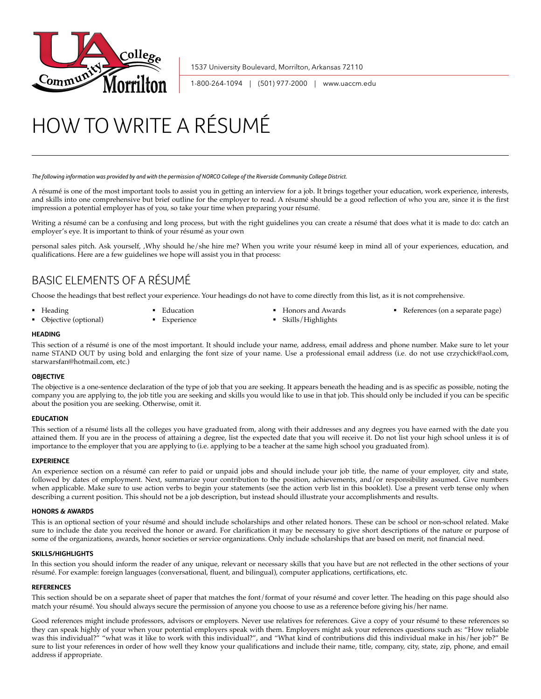

1537 University Boulevard, Morrilton, Arkansas 72110

1-800-264-1094 | (501) 977-2000 | www.uaccm.edu

# HOW TO WRITE A RÉSUMÉ

*The following information was provided by and with the permission of NORCO College of the Riverside Community College District.*

A résumé is one of the most important tools to assist you in getting an interview for a job. It brings together your education, work experience, interests, and skills into one comprehensive but brief outline for the employer to read. A résumé should be a good reflection of who you are, since it is the first impression a potential employer has of you, so take your time when preparing your résumé.

Writing a résumé can be a confusing and long process, but with the right guidelines you can create a résumé that does what it is made to do: catch an employer's eye. It is important to think of your résumé as your own

personal sales pitch. Ask yourself, 'Why should he/she hire me? When you write your résumé keep in mind all of your experiences, education, and qualifications. Here are a few guidelines we hope will assist you in that process:

# BASIC ELEMENTS OF A RÉSUMÉ

Choose the headings that best reflect your experience. Your headings do not have to come directly from this list, as it is not comprehensive.

- § Heading
	- Objective (optional) ■ Education
		- **Experience**
- § Honors and Awards § Skills/Highlights
- References (on a separate page)

**HEADING**

This section of a résumé is one of the most important. It should include your name, address, email address and phone number. Make sure to let your name STAND OUT by using bold and enlarging the font size of your name. Use a professional email address (i.e. do not use crzychick@aol.com, starwarsfan@hotmail.com, etc.)

#### **OBJECTIVE**

The objective is a one-sentence declaration of the type of job that you are seeking. It appears beneath the heading and is as specific as possible, noting the company you are applying to, the job title you are seeking and skills you would like to use in that job. This should only be included if you can be specific about the position you are seeking. Otherwise, omit it.

#### **EDUCATION**

This section of a résumé lists all the colleges you have graduated from, along with their addresses and any degrees you have earned with the date you attained them. If you are in the process of attaining a degree, list the expected date that you will receive it. Do not list your high school unless it is of importance to the employer that you are applying to (i.e. applying to be a teacher at the same high school you graduated from).

#### **EXPERIENCE**

An experience section on a résumé can refer to paid or unpaid jobs and should include your job title, the name of your employer, city and state, followed by dates of employment. Next, summarize your contribution to the position, achievements, and/or responsibility assumed. Give numbers when applicable. Make sure to use action verbs to begin your statements (see the action verb list in this booklet). Use a present verb tense only when describing a current position. This should not be a job description, but instead should illustrate your accomplishments and results.

#### **HONORS & AWARDS**

This is an optional section of your résumé and should include scholarships and other related honors. These can be school or non-school related. Make sure to include the date you received the honor or award. For clarification it may be necessary to give short descriptions of the nature or purpose of some of the organizations, awards, honor societies or service organizations. Only include scholarships that are based on merit, not financial need.

#### **SKILLS/HIGHLIGHTS**

In this section you should inform the reader of any unique, relevant or necessary skills that you have but are not reflected in the other sections of your résumé. For example: foreign languages (conversational, fluent, and bilingual), computer applications, certifications, etc.

#### **REFERENCES**

This section should be on a separate sheet of paper that matches the font/format of your résumé and cover letter. The heading on this page should also match your résumé. You should always secure the permission of anyone you choose to use as a reference before giving his/her name.

Good references might include professors, advisors or employers. Never use relatives for references. Give a copy of your résumé to these references so they can speak highly of your when your potential employers speak with them. Employers might ask your references questions such as: "How reliable was this individual?" "what was it like to work with this individual?", and "What kind of contributions did this individual make in his/her job?" Be sure to list your references in order of how well they know your qualifications and include their name, title, company, city, state, zip, phone, and email address if appropriate.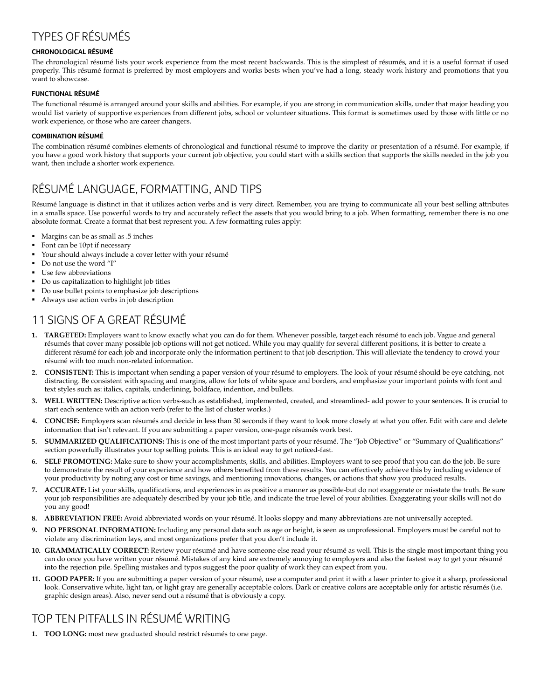# TYPES OF RÉSUMÉS

#### **CHRONOLOGICAL RÉSUMÉ**

The chronological résumé lists your work experience from the most recent backwards. This is the simplest of résumés, and it is a useful format if used properly. This résumé format is preferred by most employers and works bests when you've had a long, steady work history and promotions that you want to showcase.

#### **FUNCTIONAL RÉSUMÉ**

The functional résumé is arranged around your skills and abilities. For example, if you are strong in communication skills, under that major heading you would list variety of supportive experiences from different jobs, school or volunteer situations. This format is sometimes used by those with little or no work experience, or those who are career changers.

#### **COMBINATION RÉSUMÉ**

The combination résumé combines elements of chronological and functional résumé to improve the clarity or presentation of a résumé. For example, if you have a good work history that supports your current job objective, you could start with a skills section that supports the skills needed in the job you want, then include a shorter work experience.

# RÉSUMÉ LANGUAGE, FORMATTING, AND TIPS

Résumé language is distinct in that it utilizes action verbs and is very direct. Remember, you are trying to communicate all your best selling attributes in a smalls space. Use powerful words to try and accurately reflect the assets that you would bring to a job. When formatting, remember there is no one absolute format. Create a format that best represent you. A few formatting rules apply:

- § Margins can be as small as .5 inches
- § Font can be 10pt if necessary
- § Your should always include a cover letter with your résumé
- § Do not use the word "I"
- Use few abbreviations
- § Do us capitalization to highlight job titles
- § Do use bullet points to emphasize job descriptions
- § Always use action verbs in job description

# 11 SIGNS OF A GREAT RÉSUMÉ

- **1. TARGETED:** Employers want to know exactly what you can do for them. Whenever possible, target each résumé to each job. Vague and general résumés that cover many possible job options will not get noticed. While you may qualify for several different positions, it is better to create a different résumé for each job and incorporate only the information pertinent to that job description. This will alleviate the tendency to crowd your résumé with too much non-related information.
- **2. CONSISTENT:** This is important when sending a paper version of your résumé to employers. The look of your résumé should be eye catching, not distracting. Be consistent with spacing and margins, allow for lots of white space and borders, and emphasize your important points with font and text styles such as: italics, capitals, underlining, boldface, indention, and bullets.
- **3. WELL WRITTEN:** Descriptive action verbs-such as established, implemented, created, and streamlined- add power to your sentences. It is crucial to start each sentence with an action verb (refer to the list of cluster works.)
- **4. CONCISE:** Employers scan résumés and decide in less than 30 seconds if they want to look more closely at what you offer. Edit with care and delete information that isn't relevant. If you are submitting a paper version, one-page résumés work best.
- **5. SUMMARIZED QUALIFICATIONS:** This is one of the most important parts of your résumé. The "Job Objective" or "Summary of Qualifications" section powerfully illustrates your top selling points. This is an ideal way to get noticed-fast.
- **6. SELF PROMOTING:** Make sure to show your accomplishments, skills, and abilities. Employers want to see proof that you can do the job. Be sure to demonstrate the result of your experience and how others benefited from these results. You can effectively achieve this by including evidence of your productivity by noting any cost or time savings, and mentioning innovations, changes, or actions that show you produced results.
- **7. ACCURATE:** List your skills, qualifications, and experiences in as positive a manner as possible-but do not exaggerate or misstate the truth. Be sure your job responsibilities are adequately described by your job title, and indicate the true level of your abilities. Exaggerating your skills will not do you any good!
- **8. ABBREVIATION FREE:** Avoid abbreviated words on your résumé. It looks sloppy and many abbreviations are not universally accepted.
- **9. NO PERSONAL INFORMATION:** Including any personal data such as age or height, is seen as unprofessional. Employers must be careful not to violate any discrimination lays, and most organizations prefer that you don't include it.
- **10. GRAMMATICALLY CORRECT:** Review your résumé and have someone else read your résumé as well. This is the single most important thing you can do once you have written your résumé. Mistakes of any kind are extremely annoying to employers and also the fastest way to get your résumé into the rejection pile. Spelling mistakes and typos suggest the poor quality of work they can expect from you.
- **11. GOOD PAPER:** If you are submitting a paper version of your résumé, use a computer and print it with a laser printer to give it a sharp, professional look. Conservative white, light tan, or light gray are generally acceptable colors. Dark or creative colors are acceptable only for artistic résumés (i.e. graphic design areas). Also, never send out a résumé that is obviously a copy.

# TOP TEN PITFALLS IN RÉSUMÉ WRITING

**1. TOO LONG:** most new graduated should restrict résumés to one page.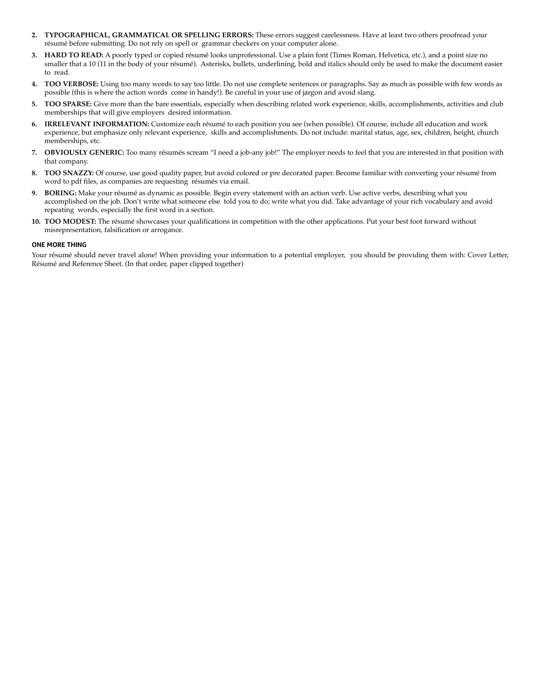- **2. TYPOGRAPHICAL, GRAMMATICAL OR SPELLING ERRORS:** These errors suggest carelessness. Have at least two others proofread your résumé before submitting. Do not rely on spell or grammar checkers on your computer alone.
- **3. HARD TO READ:** A poorly typed or copied résumé looks unprofessional. Use a plain font (Times Roman, Helvetica, etc.), and a point size no smaller that a 10 (11 in the body of your résumé). Asterisks, bullets, underlining, bold and italics should only be used to make the document easier to read.
- **4. TOO VERBOSE:** Using too many words to say too little. Do not use complete sentences or paragraphs. Say as much as possible with few words as possible (this is where the action words come in handy!). Be careful in your use of jargon and avoid slang.
- **5. TOO SPARSE:** Give more than the bare essentials, especially when describing related work experience, skills, accomplishments, activities and club memberships that will give employers desired information.
- **6. IRRELEVANT INFORMATION:** Customize each résumé to each position you see (when possible). Of course, include all education and work experience, but emphasize only relevant experience, skills and accomplishments. Do not include: marital status, age, sex, children, height, church memberships, etc.
- **7. OBVIOUSLY GENERIC:** Too many résumés scream "I need a job-any job!" The employer needs to feel that you are interested in that position with that company.
- **8. TOO SNAZZY:** Of course, use good quality paper, but avoid colored or pre decorated paper. Become familiar with converting your résumé from word to pdf files, as companies are requesting résumés via email.
- **9. BORING:** Make your résumé as dynamic as possible. Begin every statement with an action verb. Use active verbs, describing what you accomplished on the job. Don't write what someone else told you to do; write what you did. Take advantage of your rich vocabulary and avoid repeating words, especially the first word in a section.
- **10. TOO MODEST:** The résumé showcases your qualifications in competition with the other applications. Put your best foot forward without misrepresentation, falsification or arrogance.

#### **ONE MORE THING**

Your résumé should never travel alone! When providing your information to a potential employer, you should be providing them with: Cover Letter, Résumé and Reference Sheet. (In that order, paper clipped together)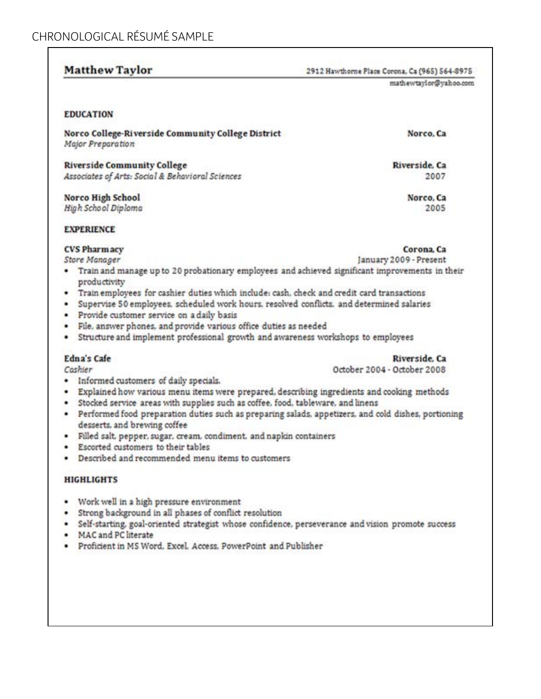|  | <b>Matthew Taylor</b> |  |
|--|-----------------------|--|
|  |                       |  |

2912 Hawthorne Place Corona, Ca (965) 564-8975

mathewtaylor@yahoo.com

Norco, Ca

2007

2005

Norco, Ca

Riverside, Ca

### **EDUCATION**

Norco College-Riverside Community College District Major Preparation

**Riverside Community College** Associates of Arts: Social & Behavioral Sciences

Norco High School High School Diploma

**EXPERIENCE** 

**CVS Pharmacy** 

Corona Ca January 2009 - Present

- Store Manager . Train and manage up to 20 probationary employees and achieved significant improvements in their productivity
- . Train employees for cashier duties which include: cash, check and credit card transactions
- · Supervise 50 employees, scheduled work hours, resolved conflicts, and determined salaries
- · Provide customer service on a daily basis
- · File, answer phones, and provide various office duties as needed
- Structure and implement professional growth and awareness workshops to employees

#### Edna's Cafe

Cashier

Riverside, Ca October 2004 - October 2008

- · Informed customers of daily specials.
- · Explained how various menu items were prepared, describing ingredients and cooking methods
- · Stocked service areas with supplies such as coffee, food, tableware, and linens
- · Performed food preparation duties such as preparing salads, appetizers, and cold dishes, portioning desserts, and brewing coffee
- · Filled salt, pepper, sugar, cream, condiment, and napkin containers
- · Escorted customers to their tables
- · Described and recommended menu items to customers

#### **HIGHLIGHTS**

- Work well in a high pressure environment
- · Strong background in all phases of conflict resolution
- · Self-starting, goal-oriented strategist whose confidence, perseverance and vision promote success
- · MAC and PC literate
- · Proficient in MS Word, Excel, Access, PowerPoint and Publisher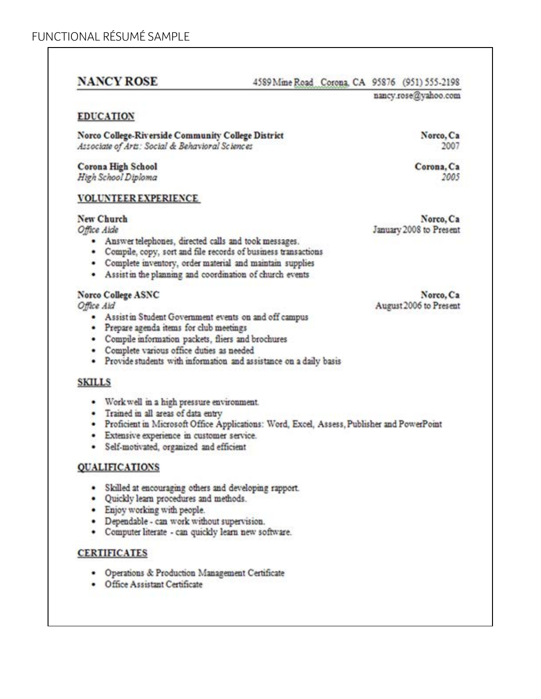# **NANCY ROSE**

4589 Mine Road Corona, CA 95876 (951) 555-2198

nancy.rose@vahoo.com

## **EDUCATION**

Norco College-Riverside Community College District Associate of Arts: Social & Behavioral Sciences

**Corona High School** High School Diploma

## **VOLUNTEER EXPERIENCE**

## New Church

Office Aide

- · Answer telephones, directed calls and took messages.
- · Compile, copy, sort and file records of business transactions
- · Complete inventory, order material and maintain supplies
- · Assist in the planning and coordination of church events

## **Norco College ASNC**

Office Aid

- . Assist in Student Government events on and off campus
- · Prepare agenda items for club meetings
- · Compile information packets, fliers and brochures
- · Complete various office duties as needed
- · Provide students with information and assistance on a daily basis

## **SKILLS**

- Work well in a high pressure environment.
- · Trained in all areas of data entry
- · Proficient in Microsoft Office Applications: Word, Excel, Assess, Publisher and PowerPoint
- · Extensive experience in customer service.
- · Self-motivated, organized and efficient

## **OUALIFICATIONS**

- · Skilled at encouraging others and developing rapport.
- · Quickly learn procedures and methods.
- · Enjoy working with people.
- · Dependable can work without supervision.
- · Computer literate can quickly learn new software.

## **CERTIFICATES**

- · Operations & Production Management Certificate
- · Office Assistant Certificate

Norco, Ca 2007

Corona, Ca 2005

Norco, Ca January 2008 to Present

Norco, Ca August 2006 to Present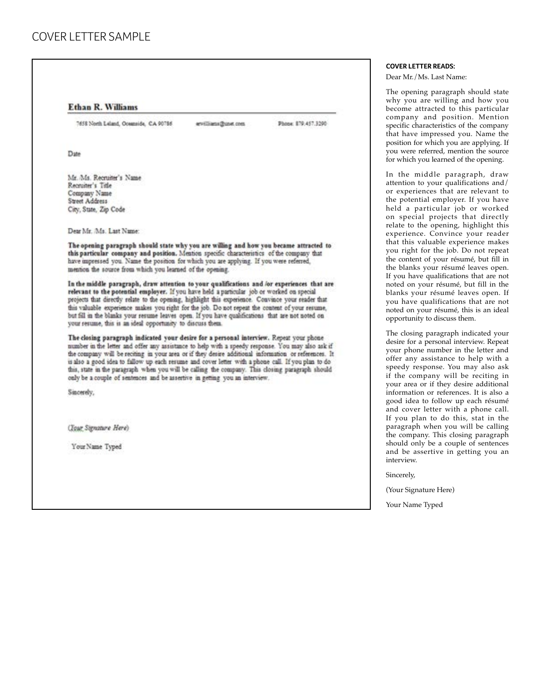## COVER LETTER SAMPLE

**Ethan R. Williams** 

7658 North Leland, Oceanside, CA 90786

ervillians@use.com

Phone: 879.457.3290

Date

Mr. Ms. Recruiter's Name Recruiter's Title Company Name Street Address City, State, Zip Code

Dear Mr. Ms. Last Name:

The opening paragraph should state why you are willing and how you became attracted to this particular company and position. Mention specific characteristics of the company that have impressed you. Name the position for which you are applying. If you were referred, mention the source from which you learned of the opening.

In the middle paragraph, draw attention to your qualifications and for experiences that are relevant to the potential employer. If you have held a particular job or worked on special projects that directly relate to the opening, highlight this experience. Convince your reader that this valuable experience makes you right for the job. Do not repeat the content of your resume, but fill in the blanks your resume leaves open. If you have qualifications that are not noted on your resume, this is an ideal opportunity to discuss them.

The closing paragraph indicated your desire for a personal interview. Repeat your phone number in the letter and offer any assistance to help with a speedy response. You may also ask if the company will be reciting in your area or if they desire additional information or references. It is also a good idea to fallow up each resume and cover letter with a phone call. If you plan to do this, state in the paragraph when you will be calling the company. This closing paragraph should only be a couple of sentences and be assertive in getting you an interview.

Sincerely,

(Tour Signature Here)

Your Name Typed

#### **COVER LETTER READS:**

Dear Mr./Ms. Last Name:

The opening paragraph should state why you are willing and how you become attracted to this particular company and position. Mention specific characteristics of the company that have impressed you. Name the position for which you are applying. If you were referred, mention the source for which you learned of the opening.

In the middle paragraph, draw attention to your qualifications and/ or experiences that are relevant to the potential employer. If you have held a particular job or worked on special projects that directly relate to the opening, highlight this experience. Convince your reader that this valuable experience makes you right for the job. Do not repeat the content of your résumé, but fill in the blanks your résumé leaves open. If you have qualifications that are not noted on your résumé, but fill in the blanks your résumé leaves open. If you have qualifications that are not noted on your résumé, this is an ideal opportunity to discuss them.

The closing paragraph indicated your desire for a personal interview. Repeat your phone number in the letter and offer any assistance to help with a speedy response. You may also ask if the company will be reciting in your area or if they desire additional information or references. It is also a good idea to follow up each résumé and cover letter with a phone call. If you plan to do this, stat in the paragraph when you will be calling the company. This closing paragraph should only be a couple of sentences and be assertive in getting you an interview.

Sincerely,

(Your Signature Here)

Your Name Typed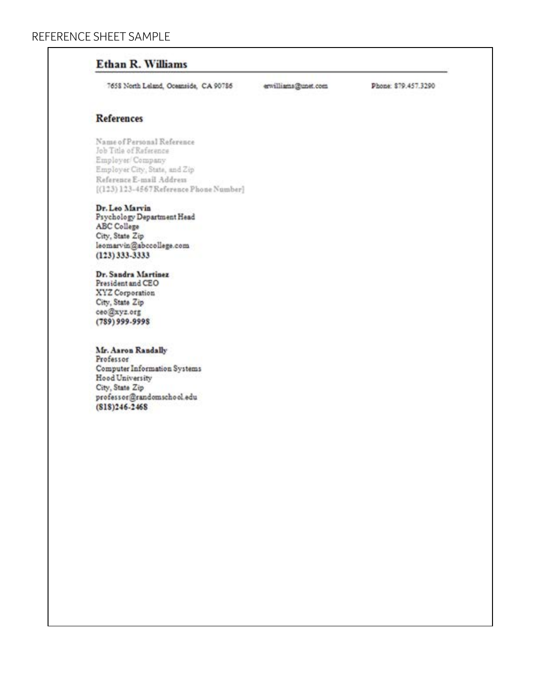## **Ethan R. Williams**

7658 North Leland, Oceanside, CA 90786

erwilliams@unet.com

Phone: \$79.457.3290

## References

Name of Personal Reference Job Title of Reference Employer/Company Employer City, State, and Zip Reference E-mail Address  $[(123)123-4567$ Reference Phone Number]

## Dr. Leo Marvin

Psychology Department Head ABC College City, State Zip leomarvin@abccollege.com  $(123) 333 - 3333$ 

## Dr. Sandra Martinez

President and CEO XYZ Corporation City, State Zip ceo@xyz.org  $(789)999.9998$ 

#### Mr. Aaron Randally

Professor Computer Information Systems Hood University City, State Zip professor@randomschool.edu  $(S1S)246-246S$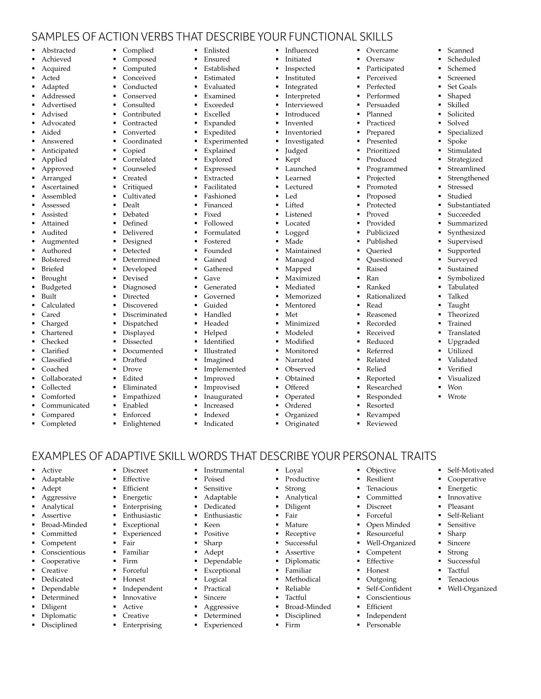# SAMPLES OF ACTION VERBS THAT DESCRIBE YOUR FUNCTIONAL SKILLS

§ Abstracted

- § Achieved
- § Acquired
- § Acted
- § Adapted
- § Addressed
- § Advertised
- § Advised
- § Advocated
- § Aided
- § Answered
- § Anticipated
- § Applied
- § Approved
- § Arranged
- § Ascertained
- § Assembled
- § Assessed
- § Assisted
- § Attained
- § Audited
- § Augmented
- § Authored
- § Bolstered
- § Briefed
- 
- § Brought
- § Budgeted
- § Built
- § Calculated
- § Cared
- § Charged
- § Chartered
- § Checked
- § Clarified
- § Classified
- 
- § Coached
- § Collaborated
- § Collected
- § Comforted
- § Communicated
- § Compared
- § Completed

■ Active § Adaptable § Adept § Aggressive § Analytical § Assertive § Broad-Minded § Committed § Competent § Conscientious § Cooperative § Creative **Dedicated** § Dependable § Determined § Diligent Diplomatic § Disciplined

- § Complied § Composed
- § Computed § Conceived
- 
- § Conducted
- § Conserved
- § Consulted
- § Contributed
- § Contracted
- § Converted
- § Coordinated
- Copied<br>■ Corrola
- Correlated<br>Counseled
- § Counseled
- § Created
- 
- § Critiqued
- § Cultivated
- § Dealt
	- § Debated
- § Defined
- § Delivered
- § Designed
- Detected
- 
- § Determined
- § Developed
- § Devised
- § Diagnosed
- § Directed
- Discovered
- § Discriminated
- § Dispatched
- § Displayed
- § Dissected
- § Documented
- Drafted
- 
- Drove<br>■ Edited § Edited
- 
- § Eliminated
	- § Empathized
	- § Enabled

§ Discreet § Effective § Efficient **Energetic** § Enterprising **Enthusiastic Exceptional Experienced** § Fair § Familiar § Firm § Forceful § Honest § Independent ■ Innovative<br>■ A*c*tive ■ Active<br>■ Creativ § Creative § Enterprising

- § Enforced
	- **Enlightened**

§ Enlisted § Ensured § Influenced **Initiated Inspected Instituted Integrated Interpreted Interviewed Introduced Invented Inventoried Investigated** § Judged § Kept § Launched § Learned § Lectured § Led § Lifted § Listened § Located § Logged § Made **Maintained** § Managed § Mapped § Maximized **Mediated** § Memorized § Mentored § Met **Minimized** § Modeled § Modified § Monitored § Narrated § Observed § Obtained § Offered § Operated § Ordered § Organized § Originated

■ Overcame § Oversaw § Participated § Perceived § Perfected § Performed § Persuaded § Planned **Practiced** § Prepared ■ Presented ■ Prioritized<br>Produced ■ Produced<br>■ Programn § Programmed § Projected § Promoted § Proposed § Protected § Proved § Provided § Publicized § Published § Queried § Questioned § Raised § Ran § Ranked § Rationalized

§ Scanned § Scheduled § Schemed § Screened § Set Goals § Shaped § Skilled § Solicited § Solved § Specialized § Spoke **Stimulated Strategized Streamlined Strengthened Stressed Studied Substantiated Succeeded** § Summarized § Synthesized § Supervised § Supported § Surveyed § Sustained § Symbolized **Tabulated** § Talked **Taught Theorized Trained Translated** § Upgraded § Utilized § Validated § Verified § Visualized  $W<sub>on</sub>$ **Wrote** 

§ Self-Motivated § Cooperative **Energetic** § Innovative § Pleasant § Self-Reliant § Sensitive § Sharp § Sincere § Strong § Successful Tactful **Tenacious** § Well-Organized

§ Read § Reasoned § Recorded § Received § Reduced § Referred § Related ■ Relied<br>■ Report ■ Reported<br>■ Researche § Researched § Responded § Resorted § Revamped § Reviewed

■ Objective<br>■ Resilient § Resilient § Tenacious § Committed § Discreet § Forceful § Open Minded § Resourceful ■ Well-Organized<br>■ Competent § Competent § Effective § Honest § Outgoing § Self-Confident § Conscientious

■ Efficient<br>■ Independent ■ Independent<br>■ Personable § Personable

- § Established
- **Estimated**
- **Evaluated Examined**
- § Exceeded
- § Excelled
- 
- **Expanded**
- **Expedited Experimented**

**Expressed** § Extracted § Facilitated § Fashioned § Financed § Fixed § Followed § Formulated § Fostered § Founded § Gained § Gathered § Gave § Generated § Governed § Guided § Handled § Headed § Helped **Identified** § Illustrated **Imagined Implemented Improved Improvised Inaugurated Increased** § Indexed § Indicated

EXAMPLES OF ADAPTIVE SKILL WORDS THAT DESCRIBE YOUR PERSONAL TRAITS

§ Loyal § Productive § Strong § Analytical § Diligent § Fair § Mature § Receptive § Successful § Assertive § Diplomatic § Familiar **Methodical** § Reliable § Tactful § Broad-Minded § Disciplined § Firm

§ Instrumental § Poised § Sensitive § Adaptable Dedicated **Enthusiastic** § Keen § Positive § Sharp § Adept § Dependable **Exceptional** § Logical **Practical** § Sincere § Aggressive § Determined § Experienced

- **Explained**
- **Explored**